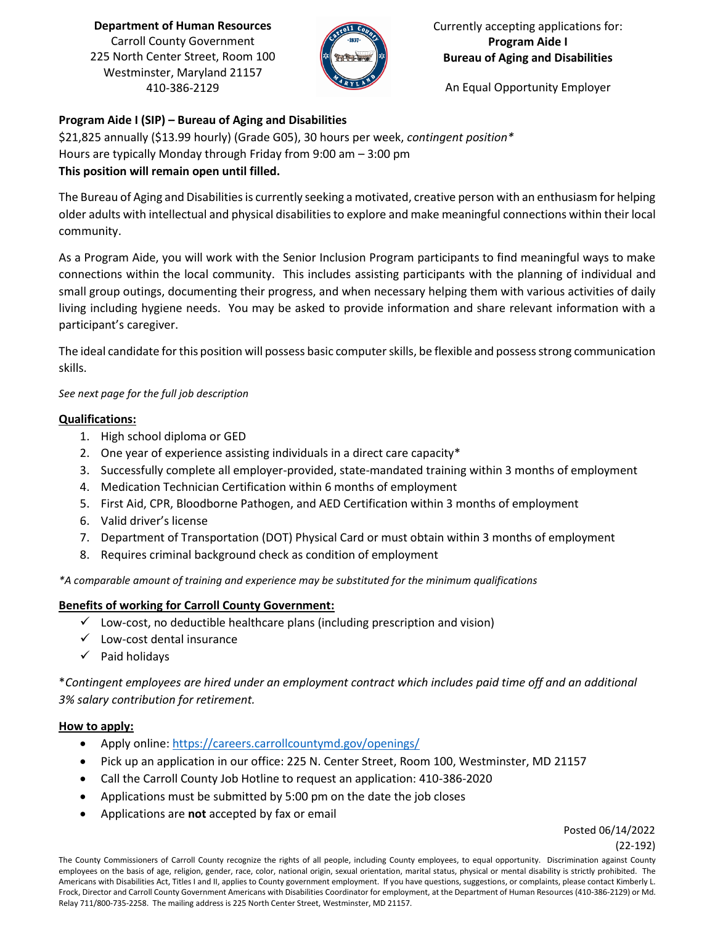**Department of Human Resources** Carroll County Government 225 North Center Street, Room 100 Westminster, Maryland 21157 410-386-2129



Currently accepting applications for: **Program Aide I Bureau of Aging and Disabilities**

An Equal Opportunity Employer

## **Program Aide I (SIP) – Bureau of Aging and Disabilities**

\$21,825 annually (\$13.99 hourly) (Grade G05), 30 hours per week, *contingent position\** Hours are typically Monday through Friday from 9:00 am – 3:00 pm **This position will remain open until filled.** 

The Bureau of Aging and Disabilities is currently seeking a motivated, creative person with an enthusiasm for helping older adults with intellectual and physical disabilities to explore and make meaningful connections within their local community.

As a Program Aide, you will work with the Senior Inclusion Program participants to find meaningful ways to make connections within the local community. This includes assisting participants with the planning of individual and small group outings, documenting their progress, and when necessary helping them with various activities of daily living including hygiene needs. You may be asked to provide information and share relevant information with a participant's caregiver.

The ideal candidate for this position will possess basic computer skills, be flexible and possess strong communication skills.

*See next page for the full job description*

## **Qualifications:**

- 1. High school diploma or GED
- 2. One year of experience assisting individuals in a direct care capacity\*
- 3. Successfully complete all employer-provided, state-mandated training within 3 months of employment
- 4. Medication Technician Certification within 6 months of employment
- 5. First Aid, CPR, Bloodborne Pathogen, and AED Certification within 3 months of employment
- 6. Valid driver's license
- 7. Department of Transportation (DOT) Physical Card or must obtain within 3 months of employment
- 8. Requires criminal background check as condition of employment

*\*A comparable amount of training and experience may be substituted for the minimum qualifications*

## **Benefits of working for Carroll County Government:**

- $\checkmark$  Low-cost, no deductible healthcare plans (including prescription and vision)
- ✓ Low-cost dental insurance
- ✓ Paid holidays

\**Contingent employees are hired under an employment contract which includes paid time off and an additional 3% salary contribution for retirement.* 

## **How to apply:**

- Apply online[: https://careers.carrollcountymd.gov/openings/](https://careers.carrollcountymd.gov/openings/)
- Pick up an application in our office: 225 N. Center Street, Room 100, Westminster, MD 21157
- Call the Carroll County Job Hotline to request an application: 410-386-2020
- Applications must be submitted by 5:00 pm on the date the job closes
- Applications are **not** accepted by fax or email

Posted 06/14/2022 (22-192)

The County Commissioners of Carroll County recognize the rights of all people, including County employees, to equal opportunity. Discrimination against County employees on the basis of age, religion, gender, race, color, national origin, sexual orientation, marital status, physical or mental disability is strictly prohibited. The Americans with Disabilities Act, Titles I and II, applies to County government employment. If you have questions, suggestions, or complaints, please contact Kimberly L. Frock, Director and Carroll County Government Americans with Disabilities Coordinator for employment, at the Department of Human Resources (410-386-2129) or Md. Relay 711/800-735-2258. The mailing address is 225 North Center Street, Westminster, MD 21157.